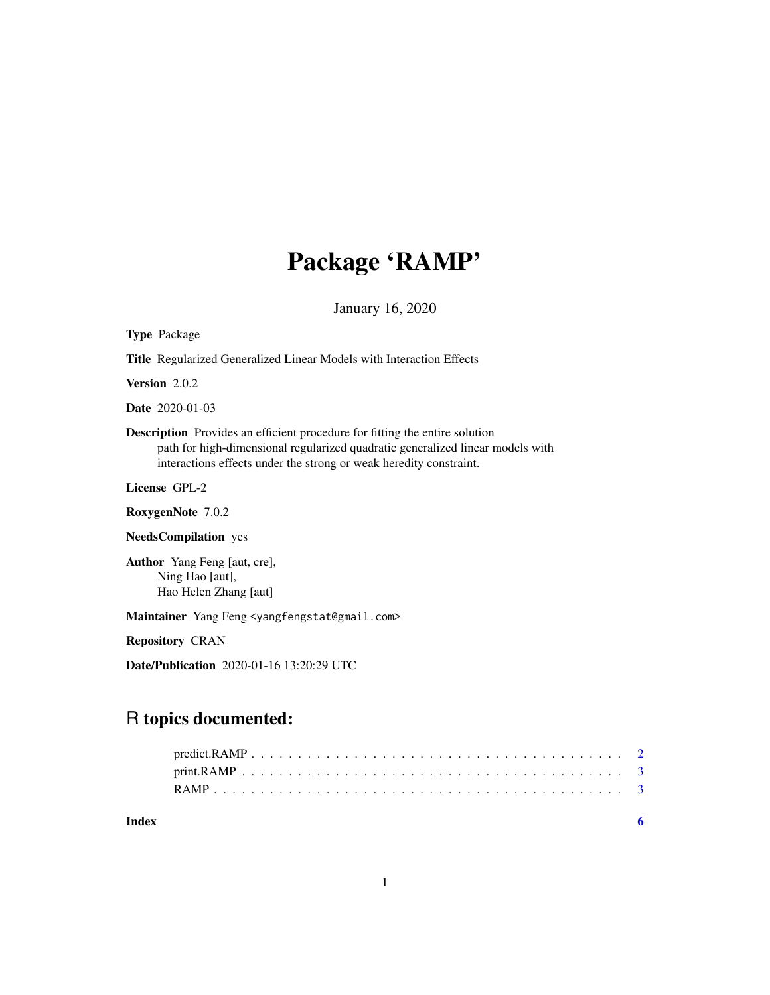## Package 'RAMP'

January 16, 2020

Type Package

Title Regularized Generalized Linear Models with Interaction Effects

Version 2.0.2

Date 2020-01-03

Description Provides an efficient procedure for fitting the entire solution path for high-dimensional regularized quadratic generalized linear models with interactions effects under the strong or weak heredity constraint.

License GPL-2

RoxygenNote 7.0.2

NeedsCompilation yes

Author Yang Feng [aut, cre], Ning Hao [aut], Hao Helen Zhang [aut]

Maintainer Yang Feng <yangfengstat@gmail.com>

Repository CRAN

Date/Publication 2020-01-16 13:20:29 UTC

### R topics documented:

**Index** [6](#page-5-0) **6**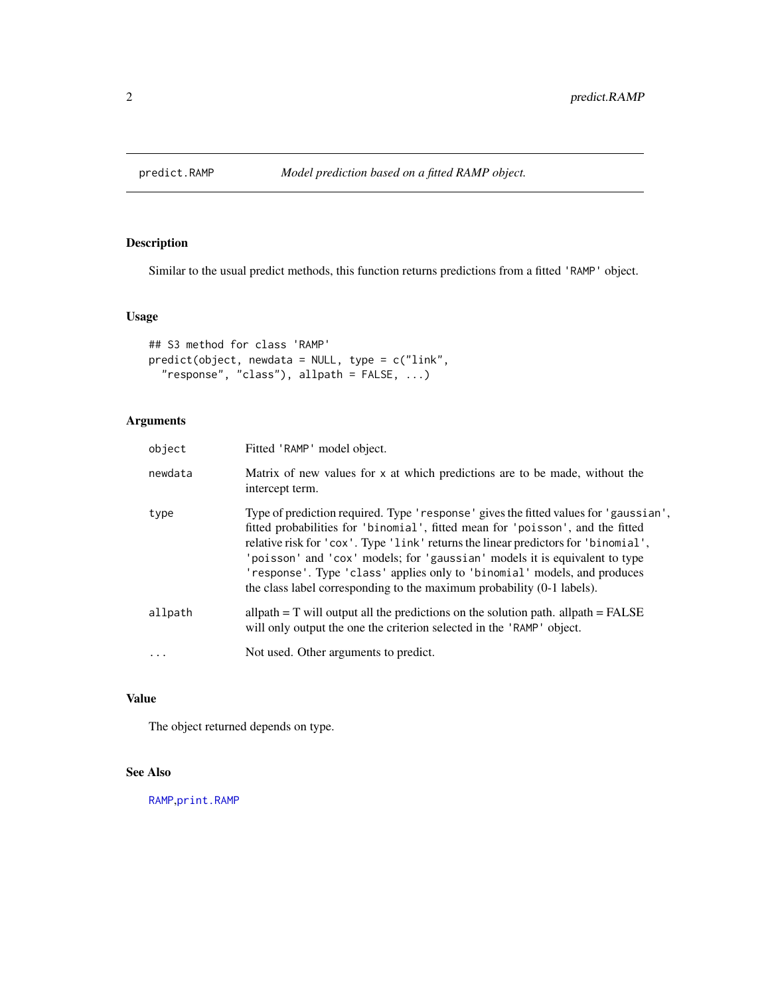<span id="page-1-1"></span><span id="page-1-0"></span>

#### Description

Similar to the usual predict methods, this function returns predictions from a fitted 'RAMP' object.

#### Usage

```
## S3 method for class 'RAMP'
predict(object, new data = NULL, type = c("link","resparse", "class"), allpath = FALSE, ...)
```
#### Arguments

| object  | Fitted 'RAMP' model object.                                                                                                                                                                                                                                                                                                                                                                                                                                                                      |
|---------|--------------------------------------------------------------------------------------------------------------------------------------------------------------------------------------------------------------------------------------------------------------------------------------------------------------------------------------------------------------------------------------------------------------------------------------------------------------------------------------------------|
| newdata | Matrix of new values for x at which predictions are to be made, without the<br>intercept term.                                                                                                                                                                                                                                                                                                                                                                                                   |
| type    | Type of prediction required. Type 'response' gives the fitted values for 'gaussian',<br>fitted probabilities for 'binomial', fitted mean for 'poisson', and the fitted<br>relative risk for 'cox'. Type 'link' returns the linear predictors for 'binomial',<br>'poisson' and 'cox' models; for 'gaussian' models it is equivalent to type<br>'response'. Type 'class' applies only to 'binomial' models, and produces<br>the class label corresponding to the maximum probability (0-1 labels). |
| allpath | allpath $= T$ will output all the predictions on the solution path. allpath $= FALSE$<br>will only output the one the criterion selected in the 'RAMP' object.                                                                                                                                                                                                                                                                                                                                   |
| .       | Not used. Other arguments to predict.                                                                                                                                                                                                                                                                                                                                                                                                                                                            |

#### Value

The object returned depends on type.

#### See Also

[RAMP](#page-2-1),[print.RAMP](#page-2-2)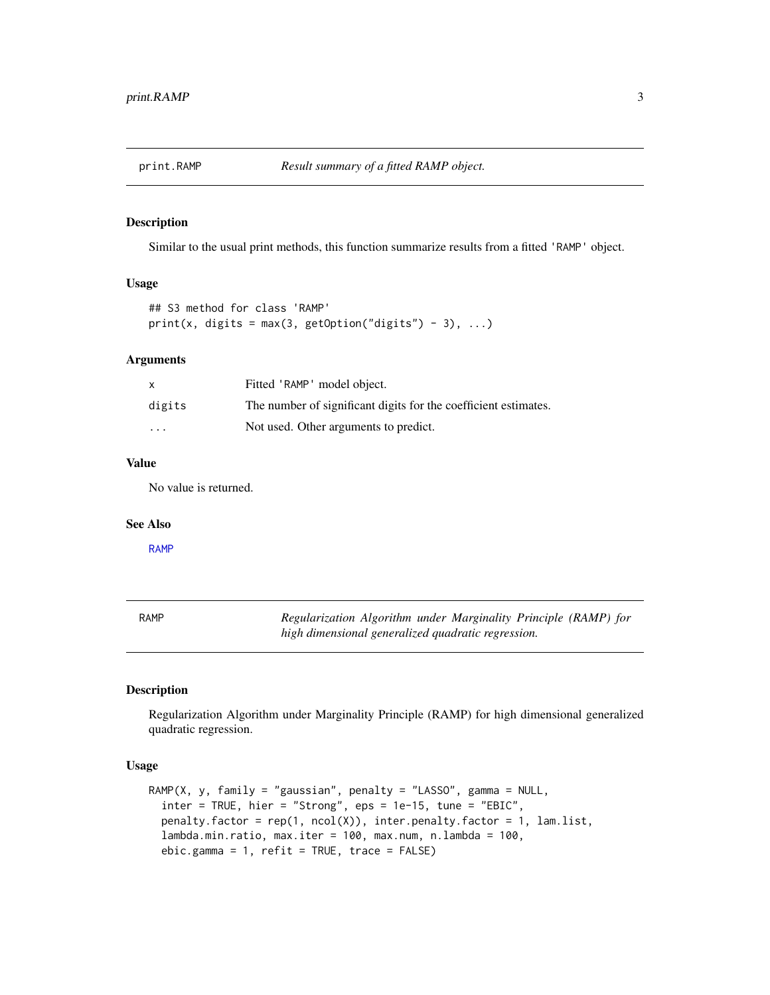<span id="page-2-2"></span><span id="page-2-0"></span>

#### Description

Similar to the usual print methods, this function summarize results from a fitted 'RAMP' object.

#### Usage

```
## S3 method for class 'RAMP'
print(x, digits = max(3, getOption("digits") - 3), ...)
```
#### Arguments

| X      | Fitted 'RAMP' model object.                                     |
|--------|-----------------------------------------------------------------|
| digits | The number of significant digits for the coefficient estimates. |
| .      | Not used. Other arguments to predict.                           |

#### Value

No value is returned.

#### See Also

[RAMP](#page-2-1)

<span id="page-2-1"></span>

*Regularization Algorithm under Marginality Principle (RAMP) for high dimensional generalized quadratic regression.*

#### Description

Regularization Algorithm under Marginality Principle (RAMP) for high dimensional generalized quadratic regression.

#### Usage

```
RAMP(X, y, family = "gaussian", penalty = "LASSO", gamma = NULL,
  inter = TRUE, hier = "Strong", eps = 1e-15, tune = "EBIC",
 penalty.factor = rep(1, ncol(X)), inter.penalty.factor = 1, lam.list,
  lambda.min.ratio, max.iter = 100, max.num, n.lambda = 100,
 ebic.gamma = 1, refit = TRUE, trace = FALSE)
```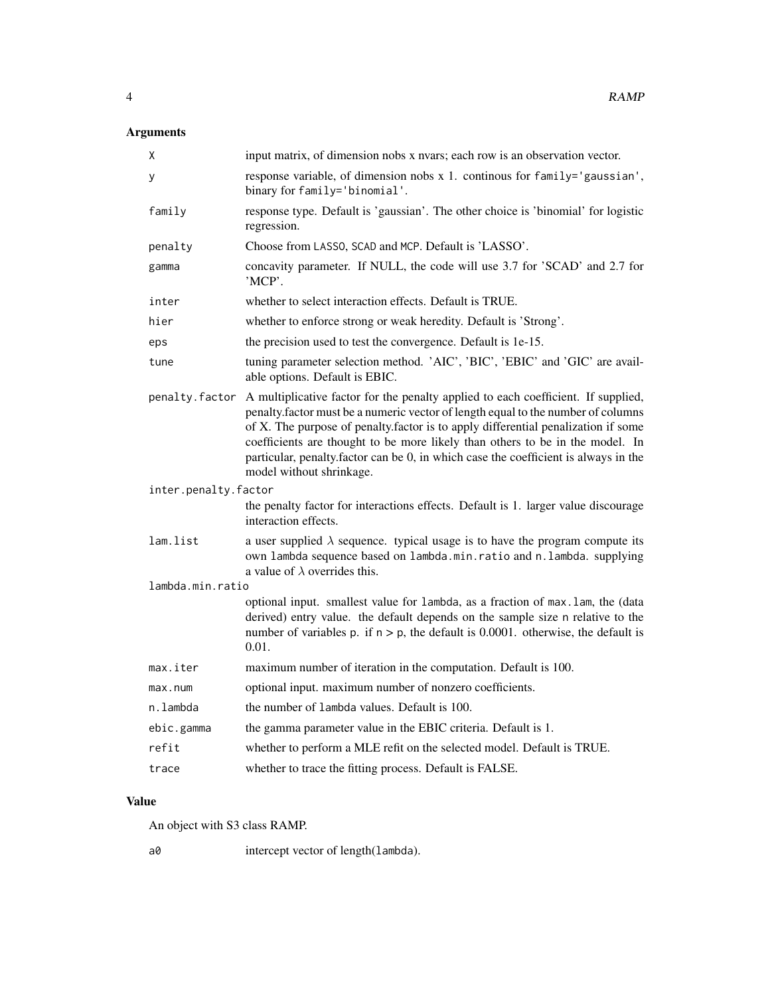#### Arguments

| χ                    | input matrix, of dimension nobs x nvars; each row is an observation vector.                                                                                                                                                                                                                                                                                                                                                                                    |  |  |  |
|----------------------|----------------------------------------------------------------------------------------------------------------------------------------------------------------------------------------------------------------------------------------------------------------------------------------------------------------------------------------------------------------------------------------------------------------------------------------------------------------|--|--|--|
| у                    | response variable, of dimension nobs x 1. continous for family='gaussian',<br>binary for family='binomial'.                                                                                                                                                                                                                                                                                                                                                    |  |  |  |
| family               | response type. Default is 'gaussian'. The other choice is 'binomial' for logistic<br>regression.                                                                                                                                                                                                                                                                                                                                                               |  |  |  |
| penalty              | Choose from LASSO, SCAD and MCP. Default is 'LASSO'.                                                                                                                                                                                                                                                                                                                                                                                                           |  |  |  |
| gamma                | concavity parameter. If NULL, the code will use 3.7 for 'SCAD' and 2.7 for<br>'MCP'.                                                                                                                                                                                                                                                                                                                                                                           |  |  |  |
| inter                | whether to select interaction effects. Default is TRUE.                                                                                                                                                                                                                                                                                                                                                                                                        |  |  |  |
| hier                 | whether to enforce strong or weak heredity. Default is 'Strong'.                                                                                                                                                                                                                                                                                                                                                                                               |  |  |  |
| eps                  | the precision used to test the convergence. Default is 1e-15.                                                                                                                                                                                                                                                                                                                                                                                                  |  |  |  |
| tune                 | tuning parameter selection method. 'AIC', 'BIC', 'EBIC' and 'GIC' are avail-<br>able options. Default is EBIC.                                                                                                                                                                                                                                                                                                                                                 |  |  |  |
| penalty.factor       | A multiplicative factor for the penalty applied to each coefficient. If supplied,<br>penalty.factor must be a numeric vector of length equal to the number of columns<br>of X. The purpose of penalty factor is to apply differential penalization if some<br>coefficients are thought to be more likely than others to be in the model. In<br>particular, penalty factor can be 0, in which case the coefficient is always in the<br>model without shrinkage. |  |  |  |
| inter.penalty.factor |                                                                                                                                                                                                                                                                                                                                                                                                                                                                |  |  |  |
|                      | the penalty factor for interactions effects. Default is 1. larger value discourage<br>interaction effects.                                                                                                                                                                                                                                                                                                                                                     |  |  |  |
| lam.list             | a user supplied $\lambda$ sequence. typical usage is to have the program compute its<br>own lambda sequence based on lambda.min.ratio and n.lambda. supplying<br>a value of $\lambda$ overrides this.                                                                                                                                                                                                                                                          |  |  |  |
| lambda.min.ratio     |                                                                                                                                                                                                                                                                                                                                                                                                                                                                |  |  |  |
|                      | optional input. smallest value for lambda, as a fraction of max. lam, the (data<br>derived) entry value. the default depends on the sample size n relative to the<br>number of variables p. if $n > p$ , the default is 0.0001. otherwise, the default is<br>0.01.                                                                                                                                                                                             |  |  |  |
| max.iter             | maximum number of iteration in the computation. Default is 100.                                                                                                                                                                                                                                                                                                                                                                                                |  |  |  |
| max.num              | optional input. maximum number of nonzero coefficients.                                                                                                                                                                                                                                                                                                                                                                                                        |  |  |  |
| n.lambda             | the number of lambda values. Default is 100.                                                                                                                                                                                                                                                                                                                                                                                                                   |  |  |  |
| ebic.gamma           | the gamma parameter value in the EBIC criteria. Default is 1.                                                                                                                                                                                                                                                                                                                                                                                                  |  |  |  |
| refit                | whether to perform a MLE refit on the selected model. Default is TRUE.                                                                                                                                                                                                                                                                                                                                                                                         |  |  |  |
| trace                | whether to trace the fitting process. Default is FALSE.                                                                                                                                                                                                                                                                                                                                                                                                        |  |  |  |

#### Value

An object with S3 class RAMP.

a0 intercept vector of length(lambda).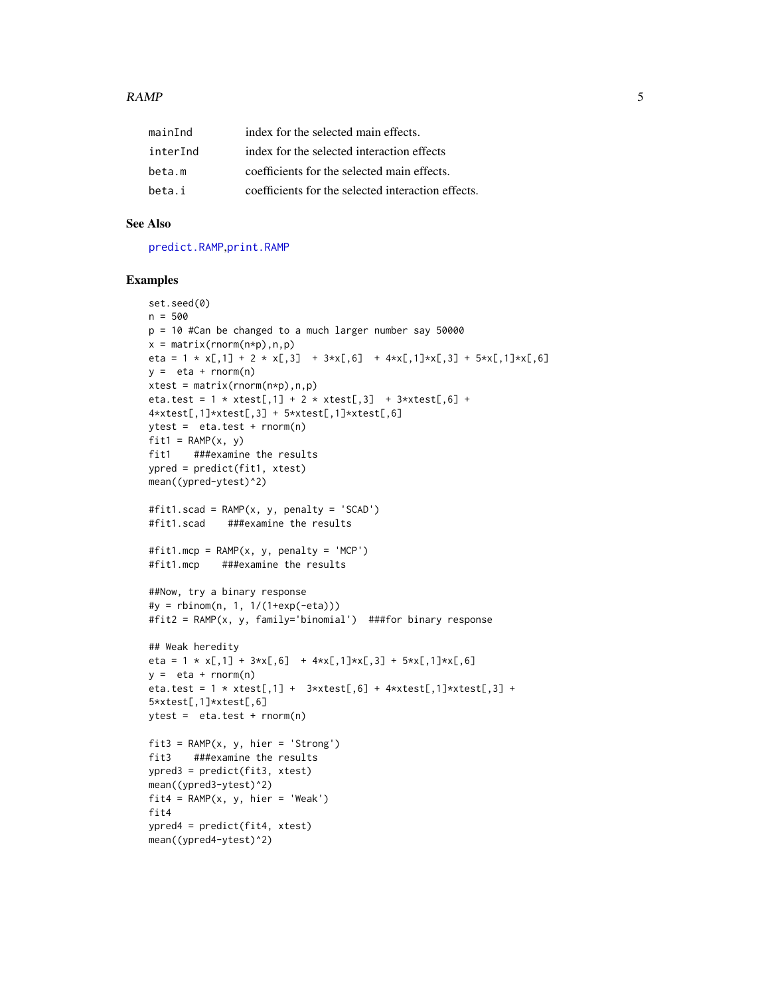<span id="page-4-0"></span>

| mainInd  | index for the selected main effects.               |
|----------|----------------------------------------------------|
| interInd | index for the selected interaction effects         |
| beta.m   | coefficients for the selected main effects.        |
| beta.i   | coefficients for the selected interaction effects. |
|          |                                                    |

#### See Also

[predict.RAMP](#page-1-1),[print.RAMP](#page-2-2)

#### Examples

```
set.seed(0)
n = 500
p = 10 #Can be changed to a much larger number say 50000
x = matrix(rnorm(n*p),n,p)eta = 1 * x[,1] + 2 * x[,3] + 3*x[,6] + 4*x[,1]*x[,3] + 5*x[,1]*x[,6]
y = eta + rnorm(n)xtest = matrix(rnorm(n*p),n,p)
eta.test = 1 * xtest[, 1] + 2 * xtest[, 3] + 3* xtest[, 6] +4*xtest[,1]*xtest[,3] + 5*xtest[,1]*xtest[,6]
ytest = eta.test + rnorm(n)fit1 = RAMP(x, y)fit1 ###examine the results
ypred = predict(fit1, xtest)
mean((ypred-ytest)^2)
#fit1.scad = RAMP(x, y, penalty = 'SCAD')
#fit1.scad ###examine the results
#fit1.mcp = RAMP(x, y, penalty = 'MCP')#fit1.mcp ###examine the results
##Now, try a binary response
#y = rbinom(n, 1, 1/(1+exp(-eta)))
#fit2 = RAMP(x, y, family='binomial') ###for binary response
## Weak heredity
eta = 1 * x[,1] + 3*x[,6] + 4*x[,1]*x[,3] + 5*x[,1]*x[,6]y = eta + rnorm(n)eta.test = 1 * xtest[, 1] + 3* xtest[, 6] + 4* xtest[, 1]* xtest[, 3] +5*xtest[,1]*xtest[,6]
ytest = eta.test + rnorm(n)
fits = RAMP(x, y, hier = 'Strong')fit3 ###examine the results
ypred3 = predict(fit3, xtest)
mean((ypred3-ytest)^2)
fit4 = RAMP(x, y, hier = 'Weak')fit4
ypred4 = predict(fit4, xtest)
mean((ypred4-ytest)^2)
```